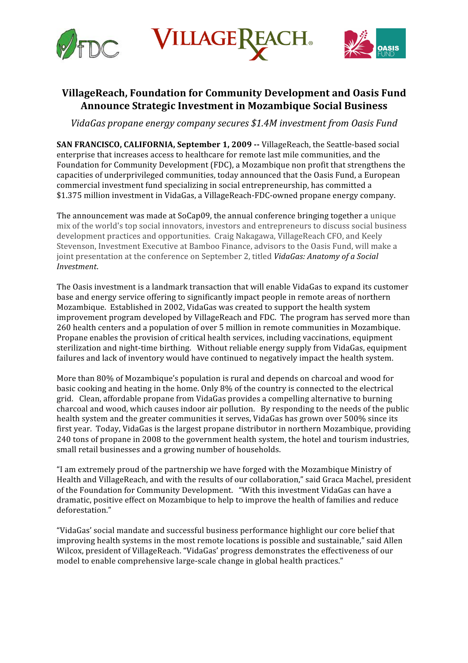

**ILLAGE** 



# **VillageReach,
Foundation
for
Community
Development
and
Oasis
Fund Announce
Strategic
Investment
in
Mozambique
Social
Business**

VidaGas propane energy company secures \$1.4M investment from Oasis Fund

SAN FRANCISCO, CALIFORNIA, September 1, 2009 -- VillageReach, the Seattle-based social enterprise
that
increases
access
to
healthcare
for
remote
last
mile
communities,
and
the Foundation for Community Development (FDC), a Mozambique non profit that strengthens the capacities
of
underprivileged
communities,
today
announced
that
the
Oasis
Fund,
a
European commercial
investment
fund
specializing
in
social
entrepreneurship,
has
committed
a \$1.375
million
investment
in
VidaGas,
a
VillageReach‐FDC‐owned
propane
energy
company.

The
announcement
was
made
at
SoCap09,
the
annual
conference
bringing
together
a
unique mix
of
the
world's
top
social
innovators,
investors
and
entrepreneurs
to
discuss
social
business development practices and opportunities. Craig Nakagawa, VillageReach CFO, and Keely Stevenson, Investment Executive at Bamboo Finance, advisors to the Oasis Fund, will make a joint presentation at the conference on September 2, titled *VidaGas: Anatomy of a Social Investment*.

The
Oasis
investment
is
a
landmark
transaction
that
will
enable
VidaGas
to
expand
its
customer base
and
energy
service
offering to
significantly
impact
people
in
remote
areas
of
northern Mozambique. Established in 2002, VidaGas was created to support the health system improvement
program
developed
by
VillageReach
and
FDC.

The
program
has
served
more
than 260
health
centers
and
a
population
of
over
5
million
in
remote
communities
in
Mozambique. Propane enables the provision of critical health services, including vaccinations, equipment sterilization and night-time birthing. Without reliable energy supply from VidaGas, equipment failures and lack of inventory would have continued to negatively impact the health system.

More than 80% of Mozambique's population is rural and depends on charcoal and wood for basic cooking and heating in the home. Only 8% of the country is connected to the electrical grid.

Clean,
affordable
propane
from
VidaGas
provides
a
compelling
alternative
to
burning charcoal
and
wood,
which
causes
indoor
air
pollution.

By
responding
to
the
needs
of
the
public health system and the greater communities it serves, VidaGas has grown over 500% since its first year. Today, VidaGas is the largest propane distributor in northern Mozambique, providing 240
tons
of
propane
in
2008
to
the
government
health
system,
the
hotel
and
tourism
industries, small
retail
businesses
and
a
growing
number
of
households.

"I
am
extremely
proud
of
the
partnership
we
have
forged
with
the
Mozambique
Ministry
of Health
and
VillageReach,
and
with
the
results
of
our
collaboration,"
said
Graca
Machel,
president of the Foundation for Community Development. "With this investment VidaGas can have a dramatic,
positive
effect
on
Mozambique
to
help
to
improve
the
health
of
families and
reduce deforestation."

"VidaGas'
social
mandate
and
successful
business
performance
highlight
our
core
belief
that improving health systems in the most remote locations is possible and sustainable," said Allen Wilcox, president of VillageReach. "VidaGas' progress demonstrates the effectiveness of our model
to
enable
comprehensive
large‐scale
change
in
global
health
practices."